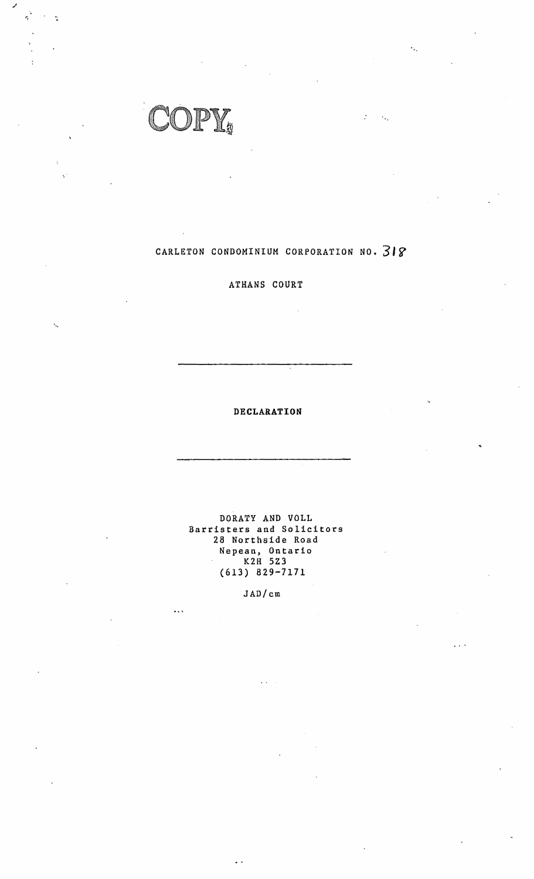$\int_{\tilde{g}}$ 

.,

 $\ddot{\phantom{a}}$ 

 $\frac{1}{\sqrt{2}}$ 

# CARLETON CONDOMINIUM CORPORATION NO. **3lr**

# ATHANS COURT

**DECLARATION** 

..

 $\gamma_{\rm in}$ 

 $\mathcal{I}$ 

 $\epsilon_{\rm sc}$ 

DORATY AND VOLL Barristers and Solicitors 28 Narthside Road Nepean, Ontario K2H 5Z3 (613) 829-7171

JAD/cm

 $\ddotsc$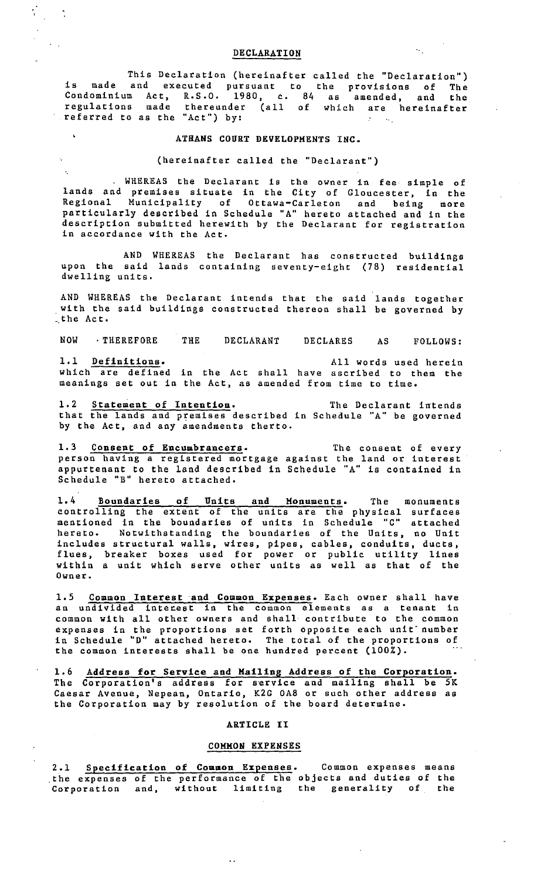# DECLARATION

 $\frac{1}{3}$  .

 $\mathcal{L}$ 

k,

This Declaration (hereinafter called the "Declaration") is made and executed pursuant to the provisions of The Condominium Act, R.S.O. 1980, c. 84 as amended, and the regulations made thereunder (all of which are hereinafter referred to as the "Act") by:

# **ATHANS COURT DEVELOPMENTS INC.**

(hereinafter called the "Declarant")

WHEREAS the Declarant is the owner in fee simple of lands and premises situate in the City of Gloucester, in the Regional Municipality of Ottawa-Carleton and being more particularly described in Schedule "A" hereto attached and in the description submitted herewith by the Declarant for registration in accordance with the Act,

AND WHEREAS the Declarant has constructed buildings upon the said lands containing seventy-eight (78) residential dwelling units,

AND WHEREAS the Declarant intends that the said lands together with the said buildings constructed thereon shall be governed by the Act.

NOW · THEREFORE THE DECLARANT DECLARES AS FOLLOWS: 1,1 Definitions. All words used herein which are defined in the Act shall have ascribed to them the

meanings set out in the Act, as amended from time to time,

1.2 Statement of **Intention.** The Declarant intends that the lands and premises described in Schedule "A" be governed by the Act, and any amendments therto,

1,3 **Consent of Encumbrancers.**  person having a registered mortgage appurtenant to the land described in Schedule "B" hereto attached, The consent of every against the land or interest Schedule "A" is contained in

1,4 Boundaries of Units and Monuments. The monuments controlling the extent of the units are the physical surfaces mentioned in the boundaries of units in Schedule "C" attached hereto. Notwithstanding the boundaries of the Units, no Unit includes structural walls, wires, pipes, cables, conduits, ducts, flues, breaker boxes used for power or public utility lines within a unit which serve other units as well as that of the Owner.

1.5 **Common Interest ·and Common Expenses.** Each owner shall have an undivided interest in the common elements as a tenant in common with all other owners and shall· contribute to the common expenses in the proportions set forth opposite each unit· number in Schedule "D" attached hereto, The total of the proportions of the common interests shall be one hundred percent (100%).

1.6 **Address for Service and Mailing Address of the Corporation.**  The Corporation's address for service and mailing shall be 5K Caesar Avenue, Nepean, Ontario, K2G OAS or such other address as the Corporation may by resolution of the board determine.

#### ARTICLE II

# COMMON EXPENSES

2 .1 Specification of **Common** Expenses. Common expenses means the expenses of the performance of the objects and duties of the Corporation and, without limiting the generality of the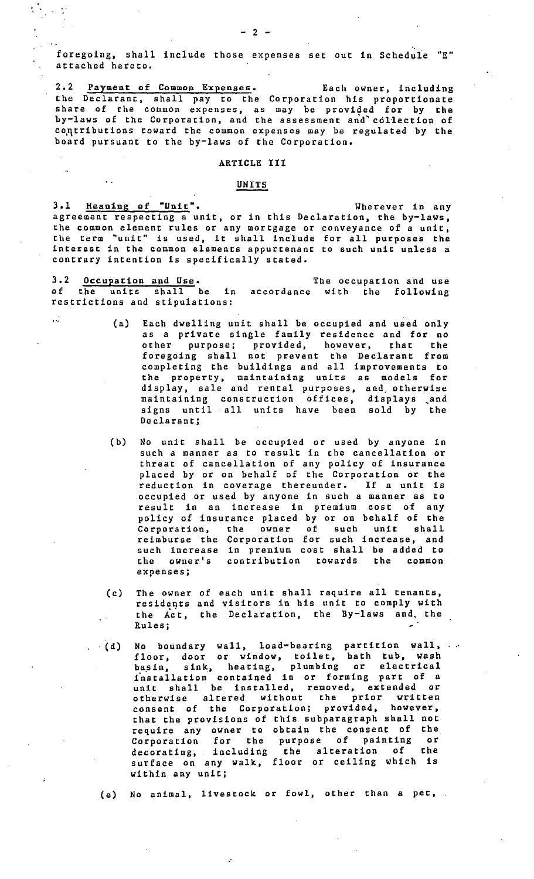**foregoing, shall include those expenses set out in Scheduie "E"**  attached hereto.

2.2 Payment of Common Expenses. Each owner, including the Declarant, shall pay to the Corporation his proportionate share of the common expenses, as may be provided for by the by-laws of the Corporation, and the assessment and<sup>\*</sup> collection of contributions toward the common expenses may be regulated by the board pursuant to the by-laws of the Corporation.

# ARTICLE III

# UNITS

 $\frac{1}{2}$ .

3.1 Meaning of "Unit". Wherever in any agreement respecting a unit, or in this Declaration, the by-laws, the common element rules or any mortgage or conveyance of a unit, the term "unit" is used, it shall include for all purposes the interest in the common elements appurtenant to such unit unless a contrary intention is specifically stated.

3.2 Occupation and Use. of the units shall be in accordance with the following The occupation and use restrictions and stipulations:

- (a) Each dwelling unit shall be occupied and used only as a private single family residence and for no other purpose; provided, however, that the foregoing shall not prevent the Declarant from completing the buildings and all improvements to the property, maintaining units as models for display, sale and rental purposes, and otherwise maintaining construction offices, displays \_and signs until all units have been sold by the Declarant;
- (b) No unit shall be occupied or used by anyone in such a manner as to result in the cancellation or threat of cancellation of any policy of insurance placed by or on behalf of the Corporation or the reduction in coverage thereunder. If a unit is occupied or used by anyone in such a manner as to result in an increase in premium cost of any policy of insurance placed by or on behalf of the Corporation, the owner of such unit shall reimburse the Corporation for such increase, and such increase in premium cost shall be added to the owner's contribution towards the common expenses;
- (c) The owner residents the Act, the Declaration, the By-laws and the Rules; of each unit shall require all tenants, and visitors in his unit to comply with
- (d) No boundary wall, load-bearing partition wall, floor, door or window, toilet, bath tub, wash hasin, sink, heating, plumbing or electrical t'nstallation contained in or forming part of a unit shall be installed, removed, extended or otherwise altered without the prior written consent of the Corporation; provided, however, that the provisions of this subparagraph shall not require any owner to obtain the consent of the Corporation for the purpose of painting or decorating, including the alteration of the surface on any walk, floor or ceiling which is within any unit;

(e) No animal, livestock or fowl, other than a pet,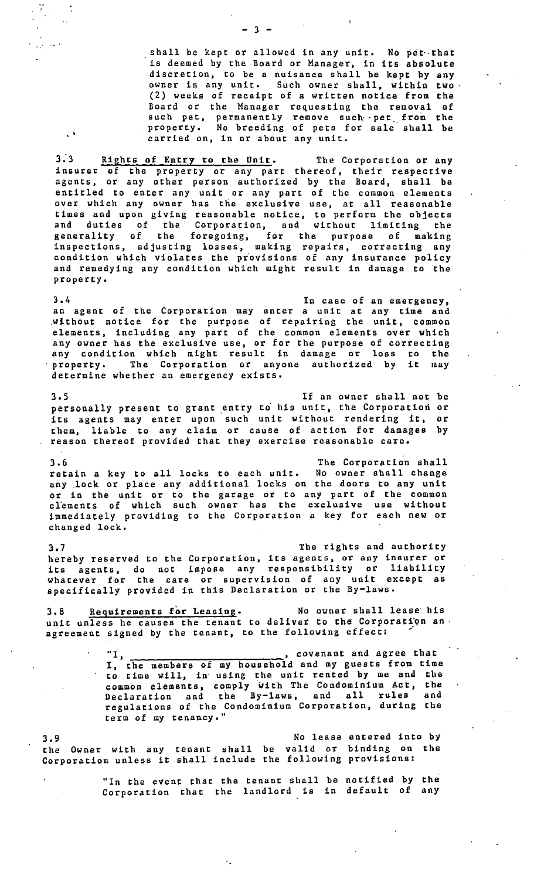shall be kept or allowed in any unit. No pet that is deemed by the Board or Manager, in its absolute discretion, co be a nuisance shall be kept by any owner in any unit. Such owner shall, within two. (2) weeks of receipt of a written notice from the Board or the Manager requesting the removal of such pet, permanently remove such pet from the property. No breeding of pets for sale shall be carried on, in or about any unit.

3.3 Rights of Entry to the Unit. The Corporation or any insurer of the property or any part thereof, their respective agents, or any other person authorized by the Board, shall be entitled to enter any unit or any part of the common elements over which any owner has the exclusive use, at all reasonable times and upon giving reasonable notice, to perform the objects and duties of the Corporation, and without limiting the generality of the foregoing, for the purpose of making inspections, adjusting losses, making repairs, correcting any condition which violates the piovisions of any insurance policy and remedying any condition which might result in damage to the property,

3.4 In case of an emergency, an agent of the Corporation may enter a unit at any time and .without notice for the purpose of repairing the unit, common elements, including any part of the common elements over which any owner has the exclusive use, or for the purpose of correcting any condition which might result in damage or loss co the property. The Corporation or anyone authorized by it may determine whether an emergency exists.

3,5 If an owner shall not be personally present to grant entry to his unit, the Corporation or its agents may enter upon such unit without rendering **it,** or chem, liable to any claim or **cause** of action for damages by reason thereof provided that they exercise reasonable **care.** 

3,6 The Corporation shall retain a key to all locks co each unit, No owner shall change any .lock or place any additional locks on the doors to any unit or in the unit or to the garage or to any part of the common elements of which such owner has the exclusive use without immediately providing to the Corporation a key for each new or changed lock.

3.7 The rights and authority hereby reserved to the Corporation, its agents, or any insurer or its agents, do not impose any responsibility or liability whatever for the care or supervision of any unit except as specifically provided in this Declaration or the By-laws,

3,8 Requirements for Leasing. No owner shall lease his unit unless he causes the tenant to deliver to the Corporation an. agreement signed by the tenant, to the following effect:

> "I, \_\_\_\_\_\_\_\_\_\_\_\_\_\_\_\_\_\_\_\_\_\_\_\_\_\_\_\_\_\_, covenant and agree that<br>I, the members of my household and my guests from time to time will, in· using the unit rented by me and the common elements, comply with The Condominium Act, the Declaration and the By-laws, and all rules and regulations of the Condominium Corporation, during the term of my tenancy."

3.9 the Owner with any tenant shall be valid or binding on the Corporation unless it shall include the following provisions: No lease entered into by

> "In the event that the tenant shall be notified by the Corporation that the landlord is in default of any

 $-3 -$ 

 $\mathcal{I}$ 

 $\sim$ 

 $\ddot{\phantom{1}}$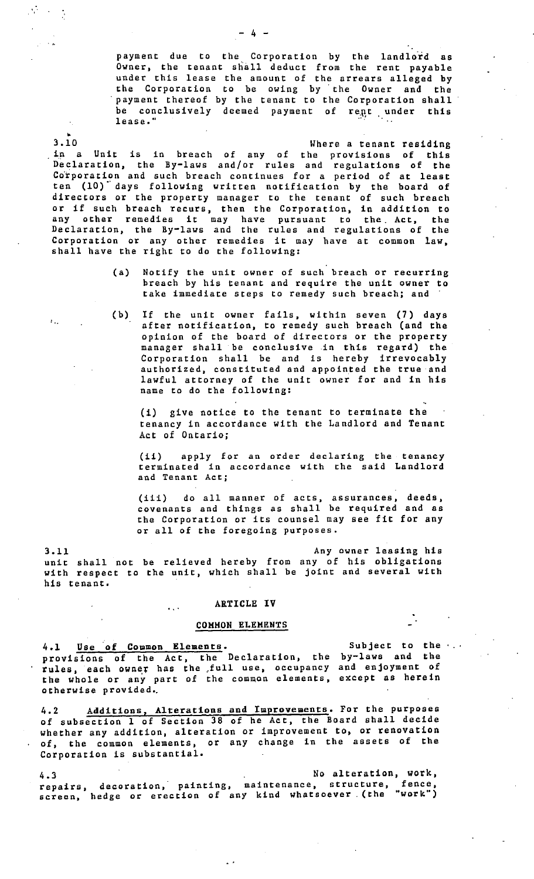payment due to the Corporation by the landlord as Owner, the tenant shall deduct from the rent payable under this lease the amount of the arrears alleged by the Corporation to be owing by the Owner and the payment thereof by the tenant to the Corporation shall be conclusively deemed payment of rent under this **lease."** *i*• *i*• *i*• *i*• *i*• *i*• *i*•

3.10 3,10 Where a tenant residing . in a Unit is in breach of any of the provisions of this Declaration, the By-laws and/or rules and regulations of the Corporation and such breach continues for a period of at least ten (10) days following written notification by the board of directors or the property manager to the tenant of such breach or if such breach recurs, then the Corporation, in addition to any other remedies it may have pursuant to the Act, the Declaration, the By-laws and the rules and regulations of the Corporation or any other remedies it may have at common law, shall have the right to do the following:

- (a) Notify the unit owner of such breach or recurring breach by his tenant and require the unit owner to take immediate steps to remedy such breach; and
- (b) If the unit owner fails, within seven (7) days after notification, to remedy such breach (and the opinion of the board of directors or the property manager shall be conclusive in this regard) the Corporation shall be and is hereby irrevocably authorized, constituted and appointed the true and lawful attorney of the unit owner for and in his name to do the following:

(i) give notice to the tenant to terminate the tenancy in accordance with the Landlord and Tenant Act of Ontario;

(ii) apply for an order declaring the tenancy terminated in accordance with the said Landlord and Tenant Act;

(iii) do all manner of acts, assurances, deeds, covenants and things as shall be required and as the Corporation or its counsel may see fit for any or all of the foregoing purposes,

3.11 Any owner leasing his unit shall not be relieved hereby from any of his obligations with respect to the unit, which shall be joint and several with his tenant.

#### ARTICLE IV

 $\mathbf{r}$ 

#### COMMON ELEMENTS

4.1 Use of Common Elements. provisions of the Act, the Declaration, the rules, each owner has the full use, occupancy the whole or any part of the common elements, otherwise provided,. Subject to the by-laws and the and enjoyment of except as herein

4.2 Additions, Alterations and Improvements. For the purposes of subsection 1 of Section 38 of he Act, the Board shall decide whether any addition, alteration or improvement to, or renovation of, the common elements, or any change in the assets of the Corporation is substantial.

4.3 repairs, **screen,**  No alteration, work, decoration, painting, maintenance, structure, fence, hedge or erection of any kind whatsoever. (the "work")

### $- 4 -$

 $\mathcal{O}(\log n)$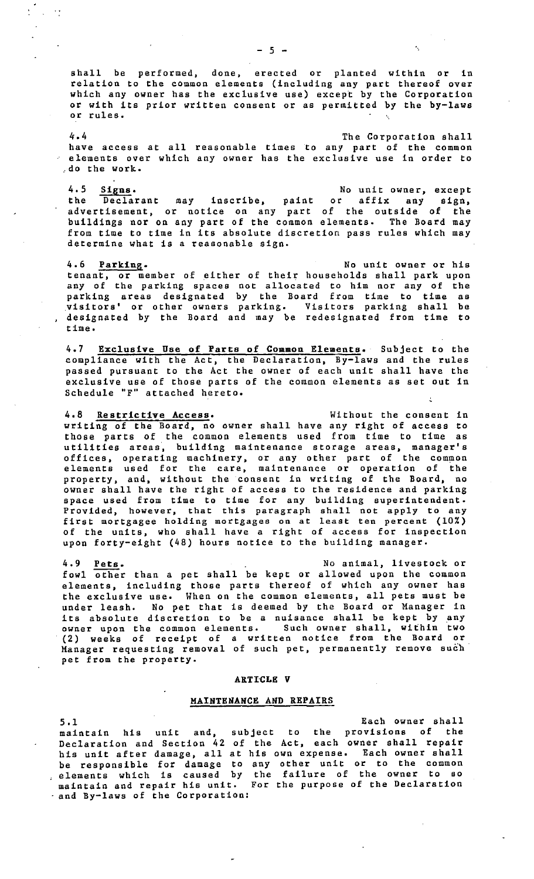shall be performed, done, erected or planted within or in relation to the common elements (including any part thereof over which any owner has the exclusive use) except by the Corporation or with its prior written consent or as permitted by the by-laws or rules.

4.4 have access at all reasonable elements over which any owner The Corporation shall times to any part of the common has the exclusive use in order to \_. do the work.

4.5 **Signs.** No unit owner, except the Declarant may inscribe, paint or affix any sign, advertisement, or notice on any part of the outside of the buildings nor on any part of the common elements. The Board may from time to time in its absolute discretion pass rules which may determine what is a reasonable sign.

4.6 <u>Parking</u>. No unit owner or his tenant, or member of either of their households shall park upon any of the parking spaces not allocated to him nor any of the parking areas designated by the Board from time to time as \_visitors' or other owners parking. Visitors parking shall be designated by the Board and may be redesignated from time to time.

4.7 Exclusive Use of Parts of **Coaaon** Elements. Subject to the compliance with the Act, the Declaration, By-laws and the rules passed pursuant to the Act the owner of each unit shall have the exclusive use of those parts of the common elements as set out in Schedule "F" attached hereto.

4.8 **Restrictive Access.** Without the consent in writing of the Board, no owner shall have any right of access to those parts of the common elements used from time to time as utilities areas, building maintenance storage areas, manager's offices, operating machinery, or any other part of the common elements used for the care, maintenance or operation of the property, and, without the consent in writing of the Board, no owner shall have the right of access to the residence and parking space used from time to time for any building superintendent. Provided, however, that this paragraph shall not apply to any first mortgagee holding mortgages on at least ten percent (10%) of the units, who shall have a right of access for inspection upon forty-eight (48) hours notice to the building manager.

4.9 **Pets.** No animal, livestock or fowl other than a pet shall be kept or allowed upon the common elements, including those parts thereof of which any owner has the exclusive use. When on the common elements, all pets must be under leash. No pet that is deemed by the Board or Manager in its absolute discretion to be a nuisance shall be kept by any owner upon the common elements. Such owner shall, within two (2) weeks of receipt of a written notice from the Board or Manager requesting removal of such pet, permanently remove such pet from the property.

#### **ARTI-CLE V**

#### **MAINTENANCE AND REPAIRS**

5.1 Each owner shall maintain his unit and, subject to the provisions of the Declaration and Section 42 of the Act, each owner shall repair his unit after damage, all at his own expense. Each owner shall be responsible for damage to any other unit or to the common elements which is caused by the failure of the owner to so maintain and repair his unit. For the purpose of the Declaration and By-laws of the Corporation: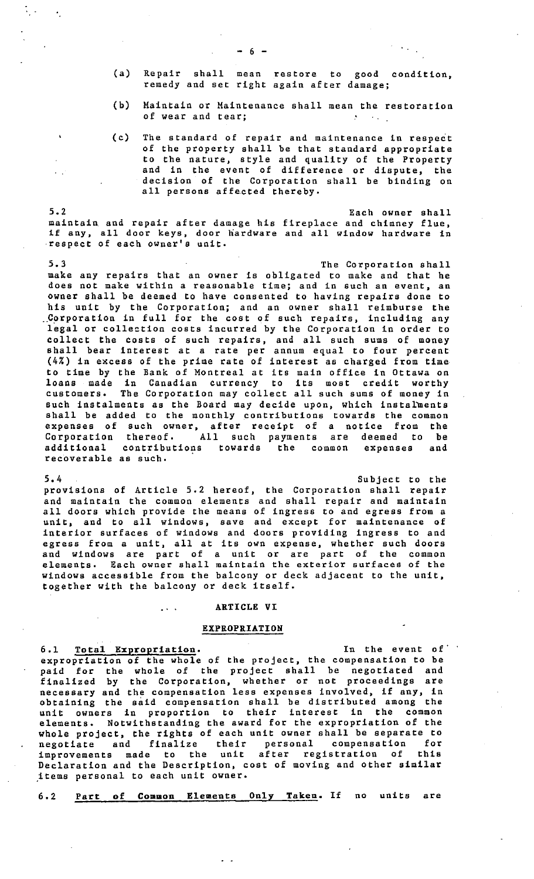- (a) Repair shall mean restore to good condition, remedy and set right again after damage;
- (b) Maintain or Maintenance shall mean the restoration of wear and tear;
- (c) The standard of repair and maintenance in respect of the property shall be that standard appropriate to the nature, style and quality of the Property and in the event of difference or dispute, the decision of the Corporation shall be binding on all persons affected thereby.

5.2 Each owner shall maintain and repair after damage his fireplace and chimney flue, if any, all door keys, door hardware and all window hardware in -respect of each owner's unit.

5.3 The Corporation shall make any repairs that an owner is obligated to make and that he does not make within a reasonable time; and in such an event, an owner shall be deemed to have consented to having repairs done to his unit by the Corporation; and an owner shall reimburse the .. Corporation in full for the cost of such repairs, including any legal or collection costs incurred by the Corporation in order to collect the costs of such repairs, and all such sums of money shall bear interest at a rate per annum equal to four percent (4%) in excess of the prime rate of interest as charged from time to time by the Bank of Montreal at its main office in Ottawa on loans made in Canadian currency to its most credit worthy customers, The Corporation may collect all such sums of money in such instalments as the Board may decide upon, which instalments shall be added to the monthly contributions towards the common expenses of such owner, after receipt of a notice from the Corporation thereof, All such payments are deemed to be additional contributions towards the common expenses and recoverable as such.

5,4 Subject to the provisions of Article 5.2 hereof, the Corporation shall repair and maintain the common elements and shall repair and maintain all doors which provide the means of ingress to and egress from a unit, and to all windows, save and except for maintenance of interior surfaces of windows and doors providing ingress to and egress from a unit, all at its own expense, whether such doors and windows are part of a unit or are part of the common elements, Each owner shall maintain the exterior surfaces of the windows accessible from the balcony or deck adjacent to the unit, together with the balcony or deck itself.

#### **ARTICLE VI**

# **EXPROPRIATION**

**<sup>6</sup>**,1 **Tota1 Expropriation.** In the event of· expropriation of the whole of the project, the compensation to be paid for the whole of the project shall be negotiated and finalized by the Corporation, whether or not proceedings are necessary and the compensation less expenses involved, if any, in obtaining the said compensation shall be distributed among the unit owners in proportion to their interest in the common elements, Notwithstanding the award for the expropriation of the whole project, the rights of each unit owner shall be separate to negotiate and finalize their personal compensation for improvements made to the unit after registration of this Declaration and the Description, cost of moving and other similar jtems personal to each unit owner,

6.2 Part of **Common** Elements Only Taken. If no units are

 $\mathcal{L}_{\mathcal{L}}$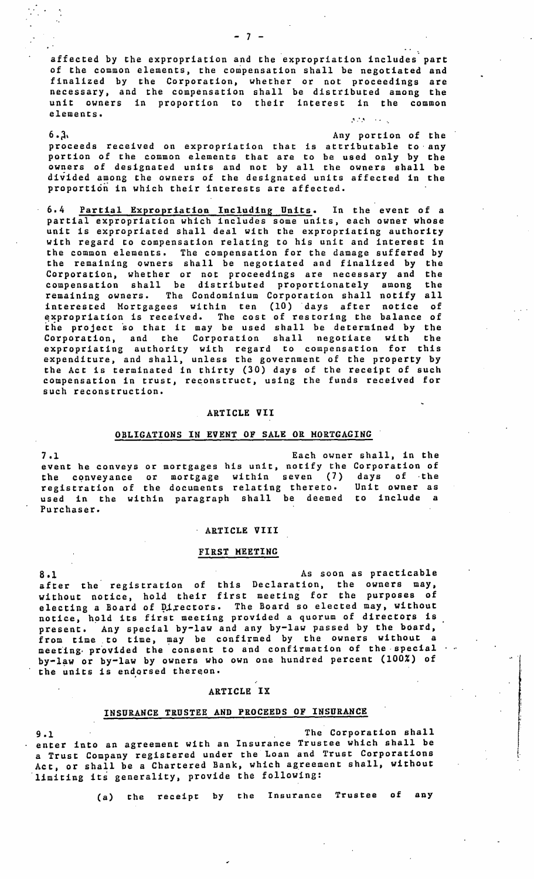affected by the expropriation and the expropriation includes part of the common elements, the compensation shall be negotiated and finalized by the Corporation, whether or not proceedings are necessary, and the compensation shall be distributed among the unit owners in proportion to their interest in the common elements.

# $\mu$  ,  $\mu$  ,  $\mu$  ,  $\mu$  ,  $\mu$

6.<sup>3</sup> Any portion of the proceeds received on expropriation that is attributable to· any portion of the common elements that are to be used only by the owners of designated units and not by all the owners shall be divided among the owners of the designated units affected in the proportion in which their interests are affected.

6.4 Partial Expropriation Including Units. In the event of a partial expropriation which includes some units, each owner whose unit is expropriated shall deal with the expropriating authority with regard to compensation relating to his unit and interest in the common elements. The compensation for the damage suffered by the remaining Qwners shall be negotiated and finalized by the Corporation, whether or not proceedings are necessary and the compensation shall be distributed proportionately among the remaining owners. The Condominium Corporation shall notify all interested Mortgagees within ten (10) ·days after notice of expropriation is received. The cost of restoring the balance of expropriation is received. The cost of restoring the balance of<br>the project so that it may be used shall be determined by the Corporation, and the Corporation shall negotiate with the expropriating authority with regard to compensation for this expenditure, and shall, unless the government of the property by the Act is terminated in thirty (30) days of the receipt of such compensation in trust, reconstruct, using the funds received for such reconstruction.

#### **ARTICLE VII**

#### **OBLIGATIONS IN EVENT OP SALE OR MORTGAGING.**

7.l Each owner shall, in the event he conveys or mortgages his unit, notify the Corporation of the cqnveyance or mortgage within seven (7) days of ·the registration of the documents relating thereto. Unit owner as **used in** the within paragraph shall be deemed to include a Purchaser.

#### · **ARTICLE VIII**

#### **FIRST MEETING**

8.1 As soon as practicable after the registration of this Declaration, the owners may, without notice, hold their first meeting for the purposes of electing a Board of Directors. The Board so elected may, without notice, hold its first meeting provided a quorum of directors is present. Any special by-law and any by-law passed by the board, from time to time, may be confirmed by the owners without a meeting, provided the consent to and confirmation of the special by-law or by-law by owners who own one hundred percent (100%) of the units is endorsed thereon.

#### ARTICLE IX

# INSURANCE TRUSTEE AND PROCEEDS OF INSURANCE

9.1 The Corporation shall enter into an agreement with an Insurance Trustee which shall be a Trust Company registered under the Loan and Trust Corporations Act, or shall be a Chartered Bank, which agreement shall, without limiting its generality, provide the following:

(a) the receipt by the Insurance Trustee of any

[.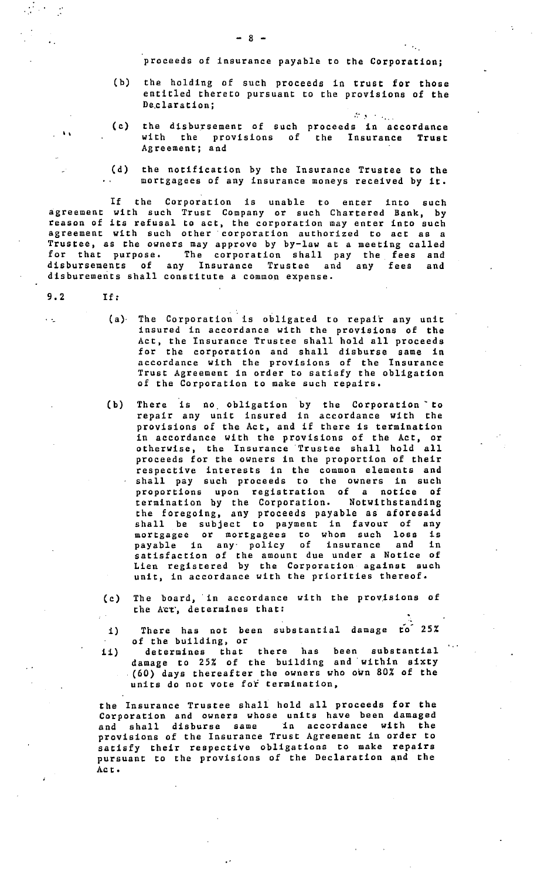proceeds of insurance payable to the Corporation;

(b) the holding of such proceeds in trust for those entitled thereto pursuant to the provisions of the De.claration;

. The set of  $\mathcal{L}_{\mathcal{A}}$ 

- (c) the disbursement of with the provisions Agreement; and such of proceeds in accordance the Insurance **Trust**
- (d) the notification by the Insurance Trustee to the mortgagees of any insurance moneys received by it.

If the Corporation is unable to enter into such agreement with such Trust Company or such Chartered Bank, by reason of its refusal to act, the corporation may enter into such agreement with such other corporation authorized to act as a Trustee, as the owners may approve by by-law at a meeting called for that purpose. The corporation shall pay the fees and disbursements of any Insurance Trustee and any fees and disburements shall constitute a common expense.

9. 2 If:

 $\ddotsc$ 

••

- (a)· The Corporation is obligated to repair any unit insured in accordance with the provisions of the Act, the Insurance Trustee shall hold all proceeds for the corporation and shall disburse same in accordance with the provisions of the Insurance Trust Agreement in order to satisfy the obligation of the Corporation to make such repairs.
- (b) There is no. obligation by the Corporation· to repair any unit insured in accordance with the provisions of the Act, and if there is termination in accordance with the provisions of the Act, or otherwise, the Insurance 'Trustee shall hold all proceeds for the owners in the proportion of their respective interests in the common elements and shall pay such proceeds to the owners in such proportions upon registration of a notice of termination by the Corporation. Notwithstanding the foregoing, any proceeds payable as aforesaid shall be subject to payment in favour of any mortgagee or mortgagees to whom such loss is payable in any· policy of insurance and in satisfaction of the amount due under a Notice of Lien registered by the Corporation against such unit, in accordance with the priorities thereof.
- (c) The board, in accordance with the provisions of the Act, determines that:
- 1) There has not been substantial damage to 25% of the building, or
- ii) determines that there has been substantial damage to 25% of the building and· within **sixty**  (60) days thereafter the owners who own 80% of the units do not vote for termination,

the Insurance Trustee shall hold all proceeds for the Corporation and owners whose units have been damaged and shall disburse same in accordance with the provisions of the Insurance Trust Agreement in order to satisfy their respective obligations to make repairs pursuant to the provisions of the Declaration and the Act.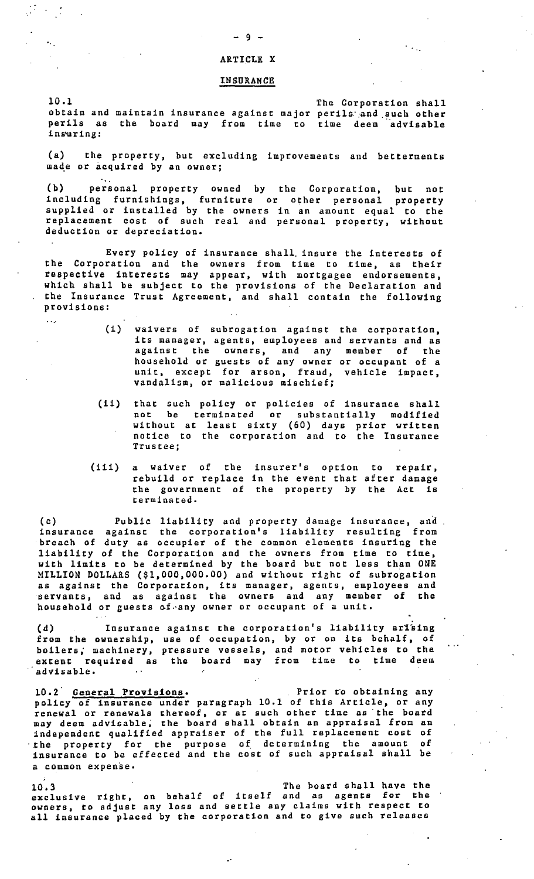# ARTICLE X

#### INSURANCE

10.1 obtain and maintain insurance against major perils and such other perils as the board may from time to time deem advisable ins•uring: The Corporation shall

(a) the property, but excluding improvements and betterments made or acquired by an owner;

(b) personal property owned by the Corporation, but not other personal property in an amount equal to the personal property, without including furnishings, furniture or supplied or installed by the owners replacement cost of such real and deduction or depreciation.

Every policy of insurance shall, insure the interests of the Corporation and the owners from time to .time, as their respective interests may appear, with mortgagee endorsements, which shall be subject to the provisions of the Declaration and the Insurance Trust Agreement, and shall contain the following provisions:

- (i) waivers of subrogation against the corporation, its manager, agents, employees and servants and as against the owners, and any member of the household or guests of any owner or occupant of a unit, except for arson, fraud, vehicle impact, vandalism, or malicious mischief;
- (ii) that such policy or policies of insurance shall terminated or substantially modified without at least sixty (60) days prior written notice to the corporation and to the Insurance that such not be **Trustee;**
- (iii) a waiver of the insurer's option to repair, rebuild or replace in the event that after damage the government of the property by the Act is terminated.

(c) Public liability and property damage insurance, and insurance against the corporation's liability resulting from breach of duty as occupier of the common elements insuring the liability of the Corporation and the owners from time to time, with limits to be determined by the board but not less than ONE MILLION DOLLARS (\$1,000,000.00) and without right of subrogation as against the Corporation, its manager, agents, employees and servants, and as against the owners and any member of the household or guests of any owner or occupant of a unit.

(d) Insurance against the corporation's liability arising from the ownership, use of occupation, by or on its behalf, of boilers, machinery, pressure vessels, and motor vehicles to the extent required as the board may from time to time deem advisable,

10.2 General Provisions. **Prior** Prior to obtaining any policy of insurance under paragraph 10.1 of this Article, or any renewal or renewals thereof, or at such other time as the board may deem advisable; the board shall obtain an appraisal from an independent qualified appraiser of the full replacement cost of ·xhe property for the purpose of determining the amount of insurance to be effected and the cost of such appraisal shall be a common expense,

10.3 The board shall have the exclusive right, on behalf of itself and as agents for the owners, to adjust any loss and settle any claims with respect to all insurance placed by the corporation and to give such releases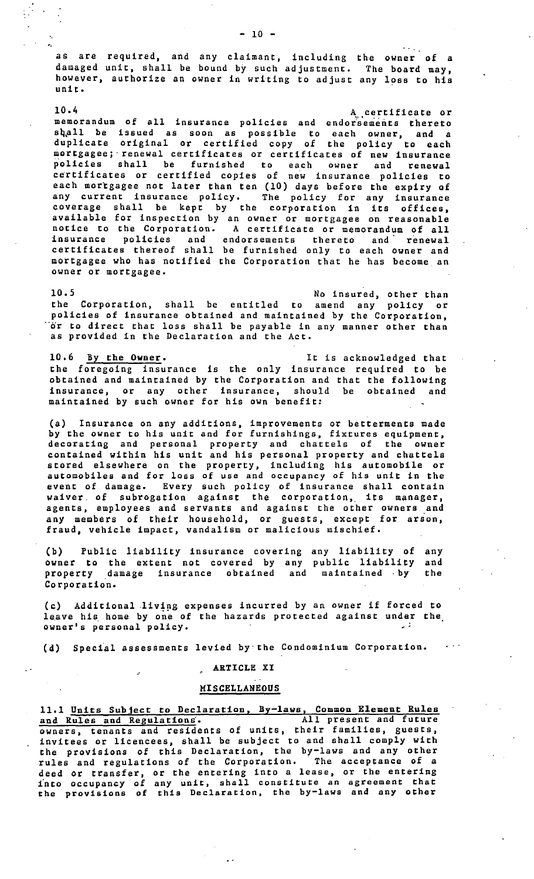as are required, and any claimant, including the owner of a damaged unit, shall be bound by such adjustment. The board may, however, authorize an owner in writing to adjust any loss to his unit,

10.4 A certificate or memorandum of all insurance policies and endorsements thereto shall be issued as soon as possible to each owner, and a duplicate original or certified copy of the policy to each mortgagee; renewal certificates or certificates of new insurance policies shall be furnished to each owner and renewal certificates or certified copies of new insurance policies to each mortgagee not later than ten (10) days before the expiry of any current insurance policy, The policy for any insurance coverage shall be kept by the corporation in its offices, available for inspection by an owner or mortgagee on reasonable notice to the Corporation. A certificate or memorandum of all insurance policies and endorsements thereto and renewal certificates thereof shall be furnished only to each owner and mortgagee who has notified the Corporation that he has become\_ an owner or mortgagee,

10.5 No insured, other than the Corporation, shall be entitled to amend any policy or policies of insurance obtained and maintained by the Corporation,  $\dddot{\circ}$ r to direct that loss shall be payable in any manner other than as provided in the Declaration and the Act,

10,6 By the **Owner.** It is acknowledged that the foregoing insurance is the only insurance required to be obtained and maintained by the Corporation and that the following insurance, or any other insurance, should be obtained and maintained by such owner for his own benefit:

(a) Insurance on any additions, improvements or betterments made by the owner to his unit and for furnishings, fixtures equipment, decorating and personal property and chattels of the owner contained within his unit and his personal property and chattels stored elsewhere on the property, including his automobile or automobiles and for loss of use and occupancy of his unit in the event of damage. Every such policy of insurance shall contain event of dumage. Avery onen portey or institute share contain<br>waiver of subrogation against the corporation, its manager, agents, employees and servants and against the other owners and any members of their household, or guests, except for arson, fraud, vehicle impact, vandalism or malicious mischief.

(b) Public liability insurance covering owner to the extent not covered by any property damage insurance obtained and Corporation, any liability of n, executely of maintained • by any and the

(c) Additional .living expenses incurred by an owner if forced to leave his home by one of the hazards protected against under the owner's personal policy.

 $\sim$   $\sim$   $\sim$ 

(d) Special assessments levied by·the Condominium Corporation.

# ARTICLE XI

# MISCELLANEOUS

11,1 Units Subject to Declaration, By-laws, Common Element Rules and Rules and Regulations. All present and future owners, tenants and residents of units, their families, guests, invitees or licencees, shall be subject to and shall comply with the provisions of this Declaration, the by-laws and any other rules and regulations of the Corporation. The acceptance of a deed or transfer, or the entering into a lease, or the entering fnto occupancy of any unit, shall constitute an agreement that the provisions of this Declaration, the by-laws and any other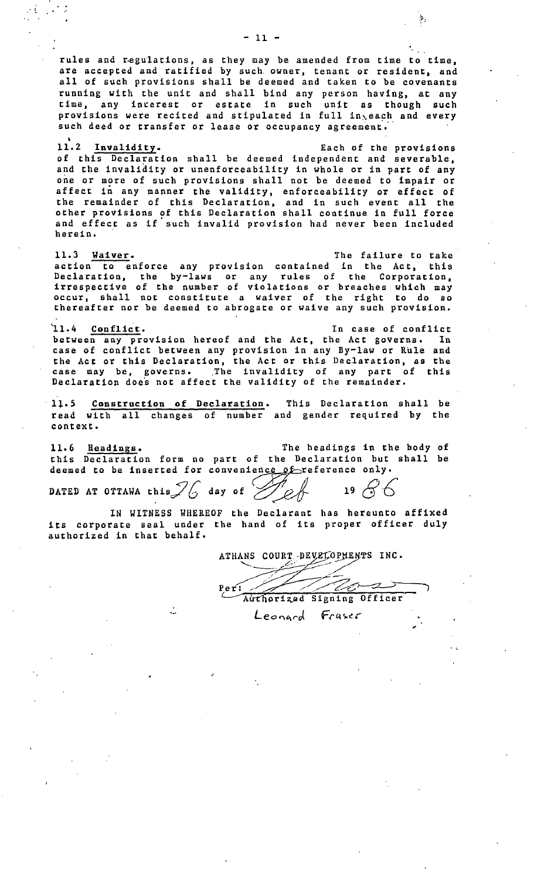rules and regulations, as they may be amended from time to time, are accepted and ratified by such. owner, tenant or resident, and all of such provisions shall be deemed and taken to be covenants running with the unit and shall bind any person having, at any time, any incerest or estate in such unit as though such provisions were recited and stipulated in full in<sub>n</sub>each and every such deed or transfer or lease or occupancy agreement.

11.2 Invalidity. Each of the provisions of this Declaration shall be deemed independent and severable, and the invalidity or unenforceability in whole or in part of any one or more of such provisions shall not be deemed to impair or affect in any manner the validity, enforceability or effect of the remainder of this Declaration, and in such event all the other provisions of this Declaration shall continue in full force and effect as if such invalid provision had never been included herein.

11.3 **Waiver.** The failure to take action to enforce any provision contained in the Act, this Declaration, the by-laws or any rules of the Corporation, irrespective of the number of violations or breaches which may occur, shall not constitute a waiver of the right to do so thereafter nor be deemed to abrogate or waive any such provision.

11.4 Conflict. The case of conflict between any provision hereof and the Act, the Act governs. In case of conflict between any provision in any By-law or Rule and the Act or this Declaration, the Act or this Declaration, as the case may be, governs. The invalidity of any part of this Declaration does not affect the validity of the remainder.

1:i,. *S*  read with all changes of number and gender required by the Construe tion of Declaration. context. This Declaration shall be

The headings in the body of this Declaration form no part of the Declaration but shall be deemed to be inserted for convenience of reference only. 11.6 Headings.

DATED AT OTTAWA this  $\mathcal{I}$  day of  $\mathcal{I}$  ef 19  $\mathcal{S}$  6

÷.

 $\frac{1}{2}$ 

IN WITNESS WHEREOF the Declarant has hereunto affixed its corporate seal under the hand of its proper officer duly authorized in that behalf.

ATHANS COURT PEVELOPMENTS INC.

Ve-2  $\mathcal{F}$  $Per:$ Authorized Signing Officer Leonard Fraser

 $\mathbf{\hat{y}}_1$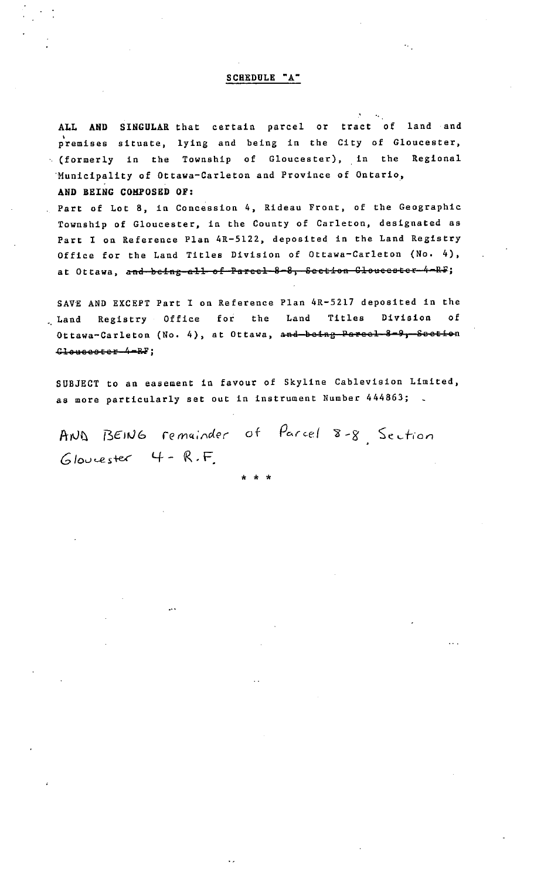# SCHEDULE "A"

**ALL AND SINGULAR** that certain parcel or tract of land and • premises situate, lying and being in the City of Gloucester, (formerly in the Township of Gloucester), in the Regional ·Municipality of Ottawa-Carleton and Province of Ontario, **AND BEING COMPOSED OF:** 

Part of Lot 8, in Concession 4, Rideau Front, of the Geographic Township of Gloucester, in the County of Carleton, designated as Part I on Reference Plan 4R-5122, deposited in the Land Registry Office for the Land Titles Division of Ottawa-Carleton (No, 4), **at Ottawa, and heing ell ef Pareel 8 8 5 Seetias SleueeateF 4 Ri;** 

SAVE AND EXCEPT Part I on Reference Plan 4R-5217 deposited in the Land Registry Office for the Land Titles Division of Ottawa-Carleton (No. 4), at Ottawa, and boing Pareel 8-9, Seetion Clousester-4-RF;

SUBJECT to an easement in favour of Skyline Cablevision Limited, as more particularly set out in instrument Number 444863;

AND BEING remainder of Parcel 8-8 Section Gloucester 4 - R.F.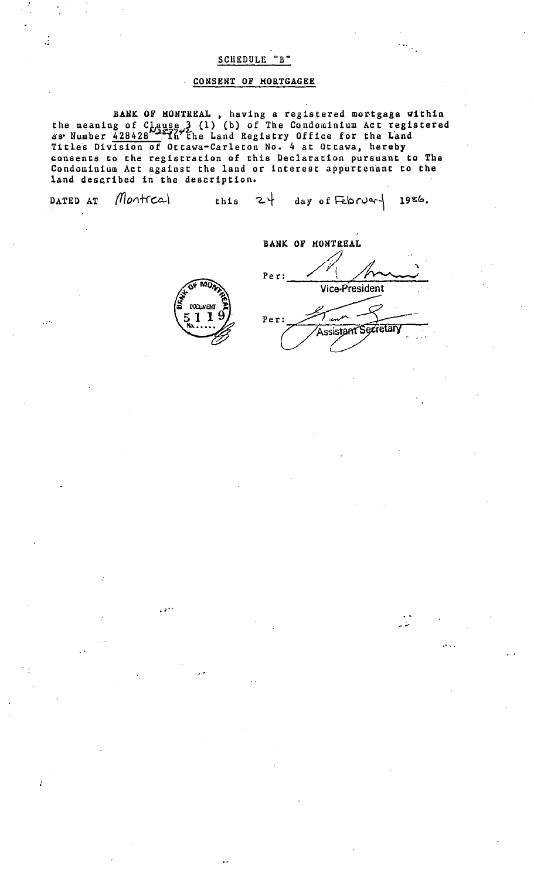# SCHEDULE "B"

# CONSENT OF MORTGAGEE

BANK OF MONTREAL, having a registered mortgage within the meaning of  $C_{1}$  ause 3 (1) (b) of The Condominium Act registered as Number 428428 2x77" the Land Registry Office for the Land Titles Division of Ottawa-Carleton No. 4 at Ottawa, hereby consents to the registration of this Declaration pursuant to The Condominium Act against the land or interest appurtenant to the land described in the description.

| DATED AT $Montca$ |  | this $24$ day of Februar   1986. |  |
|-------------------|--|----------------------------------|--|
|                   |  |                                  |  |

Per: ---V-lc-e--P~'r"'"e-s1-.d-e-nt / \ ~ \_\_\_ \_ **BANK OF MONTREAL** Per: Assistant Secretary

, ...

ىت بە



. *:* ..

,.···

 $\frac{1}{2}$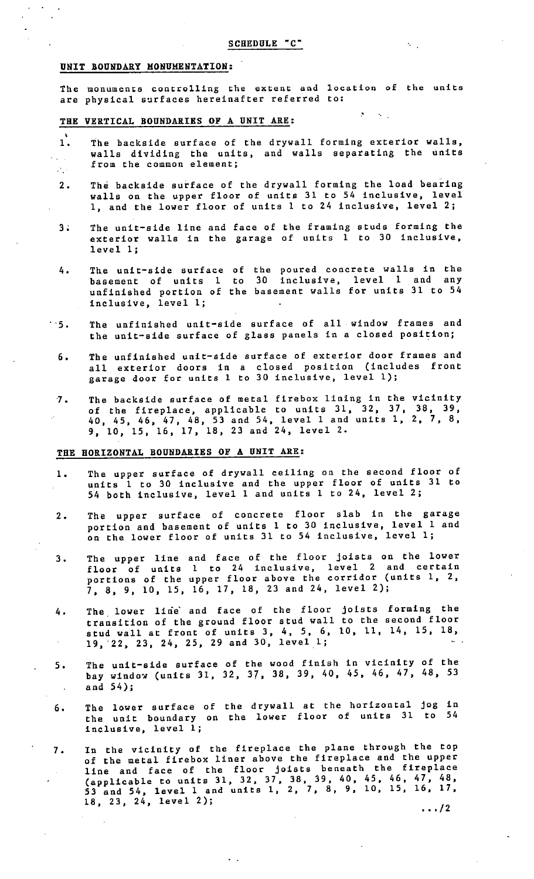$\sim$   $\,$ 

 $\sim 100$ 

#### UNIT BOUNDARY HONUMENTATION:

The monuments controlling the extent and location of the units are physical surfaces hereinafter referred to:

#### THE VERTICAL BOUNDARIES OF A UNIT ARE:

- 1. The backside surface of the drywall forming exterior walls, walls dividing the units, from the common element; and walls separating the units
- 2. The backside surface of the drywall forming the load bearing walls on the upper floor of units 31 to 54 inclusive, level 1, and the lower floor of units 1 to 24 inclusive, level 2;
- 3; The unit-side line and face of the framing studs forming the exterior walls in the garage of units  $\overline{1}$  to 30 inclusive, level l;
- 4. The unit-side surface of basement of units 1 to unfinished portion of the inclusive, level l; the poured concrete walls in the 30 inclusive, level 1 and any basement walls for units 31 to 54
- · ·5. The unfinished unit-side surface of all window frames and the unit-side surface of glass panels in a closed position;
	- 6. The unfinished unit-side surface of exterior door frames and all exterior doors in a closed position (includes front garage door for units 1 to 30 inclusive, level 1);
	- vicinity The backside surface of metal firebox lining in the  $7.$ of the fireplace, applicable to units 31, 32, 37, 38, 39, 2, 7, 8, 40, 45, 46, 47, 48, 53 and 54, level 1 and units 1,  $9, 10, 15, 16, 17, 18, 23$  and  $24, 1$ evel 2.

# **THE HORIZONTAL BOUNDARIES OF A UNIT ARE:**

- 1. The upper surface of drywall ceiling on the second floor of units 1 to 30 inclusive and the upper floor of units 31 to 54 both inclusive, level 1 and units 1 to 24, level 2;
- 2. The upper surface of concrete floor slab in the garage portion and basement of units 1 to 30 inclusive, level 1 and on the lower floor of units 31 to 54 inclusive, level l;
- 3. The upper line floor of units portions of the 7, 8, 9, 10, 15, 16, 17, 18, 23 and 24, level 2); and face of the floor joists on the lower 1 to 24 inclusive, level 2 and certain upper floor above the corridor (units 1, 2,
- joists forming the The lower line and face of the floor 4. to the second floor transition of the ground floor stud wall stud wall at front of units 3, 4, *5,* 6, 10, 11, 14, 15, 18,  $19, 22, 23, 24, 25, 29$  and  $30, 1$ evel 1;
- 5. The unit-side surface of the wood finish in vicinity of the bay window (units 31, 32, 37, 38, 39, 40, 45, 46, 47, 48, 53 and 54);
- 6. The lower surface of the unit boundary on inclusive, level l; the drywall at the horizontal jog in the lower floor of units 31 to 54
- 7. In the vicinity of the fireplace the plane through the top of the metal firebox liner above the fireplace and the upper of the metal fittbox lines above the cover-(applicable to units 31, 32, 37, 38, 39, 40, 45, 46, 47, 48, (appricable to dirty 52, 52, 7, 7, 8, 9, 10, 15, 16, 17,  $18, 23, 24, 1$ evel 2);  $\cdots/2$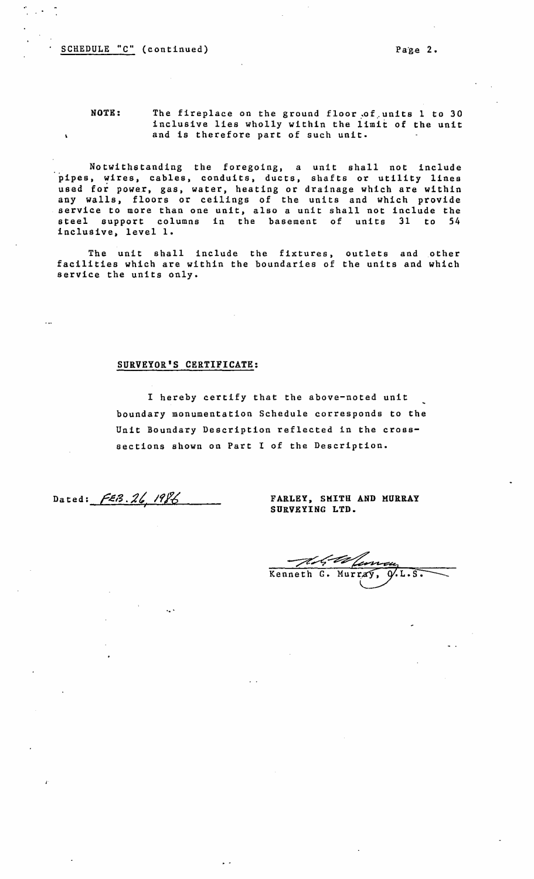$\frac{1}{2}$  ,  $\frac{1}{2}$  ,  $\frac{1}{2}$ 

NOTE: The fireplace on the ground floor of units 1 to 30 inclusive lies wholly within the limit of the unit and is therefore part of such unit.

Notwithstanding the foregoing, a unit shall not include pipes, wires, cables, conduits, ducts, shafts or utility lines used for power, gas, water, heating or drainage which are within any walls, floors or ceilings of the units and which provide service to more than one unit, also a unit shall not include the steel support columns in the basement of units 31 to 54 inclusive, level 1.

The unit shall include the fixtures, outlets and other facilities which are within the boundaries of the units and which service the units only.

# **SURVEYOR'S CERTIFICATE:**

I hereby certify that the above-noted unit boundary monumentation Schedule corresponds to the Unit Boundary Description reflected in the crosssections shown on Part I of the Description.

Dated:  $FEB.26.1986$ 

**FARLEY, SMITH AND MURRAY**  SURVEYING LTD.

First Va Kenneth G. Murray, Q.L.S.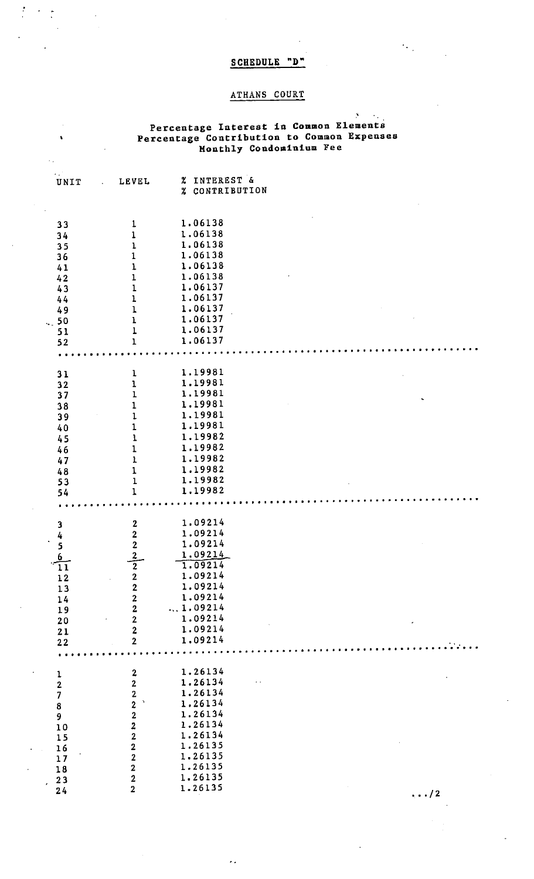# SCHEDULE "D"

 $\epsilon_{\rm{eff}}$ 

 $\frac{1}{\sqrt{2}}$ 

 $\frac{1}{2}$ 

 $\hat{\mathbf{v}}$ 

# ATHANS COURT

# ·' **Percentage Interest** in **Common Elements Percentage Contribution** to **Common Expenses Monthly Condominium** Fee

| UNIT                                                                 | LEVEL                                                             | % INTEREST &<br>% CONTRIBUTION |    |
|----------------------------------------------------------------------|-------------------------------------------------------------------|--------------------------------|----|
|                                                                      |                                                                   |                                |    |
|                                                                      |                                                                   | 1.06138                        |    |
| 33                                                                   | $\mathbf{1}$                                                      | 1.06138                        |    |
| 34                                                                   | $\mathbf{1}$                                                      | 1.06138                        |    |
| 35                                                                   | $\mathbf{1}$                                                      | 1.06138                        |    |
| 36                                                                   | $\mathbf 1$                                                       |                                |    |
| 41                                                                   | $\mathbf{I}$                                                      | 1.06138                        |    |
| 42                                                                   | $\mathbf{1}$                                                      | 1.06138                        |    |
| 43                                                                   | $\mathbf{1}$                                                      | 1.06137                        |    |
| 44                                                                   | $\mathbf 1$                                                       | 1.06137                        |    |
| 49                                                                   | $\mathbf 1$                                                       | 1.06137                        |    |
| .50                                                                  | $\mathbf{I}$                                                      | 1.06137                        |    |
| 51                                                                   | $\mathbf{1}$                                                      | 1.06137                        |    |
| 52                                                                   | $\mathbf{1}$                                                      | 1.06137                        |    |
|                                                                      |                                                                   | .                              |    |
| 31                                                                   | $\mathbf{I}$                                                      | 1.19981                        |    |
| 32                                                                   | $\mathbf 1$                                                       | 1.19981                        |    |
| 37                                                                   | $\mathbf{1}$                                                      | 1.19981                        |    |
|                                                                      | $\mathbf{1}$                                                      | 1.19981                        |    |
| 38                                                                   | $\mathbf 1$                                                       | 1.19981                        |    |
| 39                                                                   |                                                                   | 1.19981                        |    |
| 40                                                                   | $\mathbf{1}$                                                      | 1.19982                        |    |
| 45                                                                   | $\mathbf{1}$                                                      |                                |    |
| 46                                                                   | $\mathbf{1}$                                                      | 1.19982                        |    |
| 47                                                                   | $\mathbf{I}$                                                      | 1.19982                        |    |
| 48                                                                   | $\mathbf{1}$                                                      | 1.19982                        |    |
| 53                                                                   | $\mathbf 1$                                                       | 1.19982                        |    |
| 54                                                                   | $\mathbf{1}$                                                      | 1.19982                        |    |
|                                                                      |                                                                   |                                |    |
|                                                                      |                                                                   | 1.09214                        |    |
| $\begin{array}{r} 3 \\ 4 \\ 5 \\ \underline{6} \\ 11 \\ \end{array}$ | $\begin{array}{c}\n2 \\ 2 \\ \hline\n2 \\ \hline\n2\n\end{array}$ | 1.09214                        |    |
|                                                                      |                                                                   | 1.09214                        |    |
|                                                                      |                                                                   | 1.09214                        |    |
|                                                                      |                                                                   | 1.09214                        |    |
|                                                                      |                                                                   | 1.09214                        |    |
| $1\,2$                                                               | $\boldsymbol{2}$<br>$\overline{2}$                                | 1.09214                        |    |
| 13                                                                   |                                                                   | 1.09214                        |    |
| 14                                                                   | $\mathbf{2}$                                                      | 1.09214                        |    |
| 19                                                                   | $\mathbf{2}$                                                      | 1.09214                        |    |
| 20                                                                   | $\overline{2}$                                                    |                                |    |
| 21                                                                   | $\overline{2}$                                                    | 1.09214                        |    |
| 22                                                                   | $\overline{2}$                                                    | 1.09214                        |    |
|                                                                      |                                                                   |                                |    |
|                                                                      | $\boldsymbol{2}$                                                  | 1.26134                        |    |
|                                                                      | $\overline{2}$                                                    | 1.26134                        |    |
|                                                                      | $\overline{2}$                                                    | 1.26134                        |    |
|                                                                      | $\mathbf{v}$                                                      | 1.26134                        |    |
| 1<br>2<br>7<br>8<br>9<br>10                                          | $\begin{array}{c} 2 \\ 2 \\ 2 \end{array}$                        | 1.26134                        |    |
|                                                                      |                                                                   | 1.26134                        |    |
|                                                                      | $\overline{2}$                                                    | 1.26134                        |    |
| 15                                                                   | $\overline{2}$                                                    | 1.26135                        |    |
| 16                                                                   | $\overline{2}$                                                    | 1.26135                        |    |
| 17                                                                   |                                                                   | 1.26135                        |    |
| 18                                                                   | $\overline{2}$                                                    | 1.26135                        |    |
| 23<br>$\mathbf{r}$                                                   | $\overline{2}$                                                    |                                |    |
| 24                                                                   | $\overline{2}$                                                    | 1.26135                        | /2 |

 $\mathcal{L}_{\mathcal{A}}$ 

••• *I* 2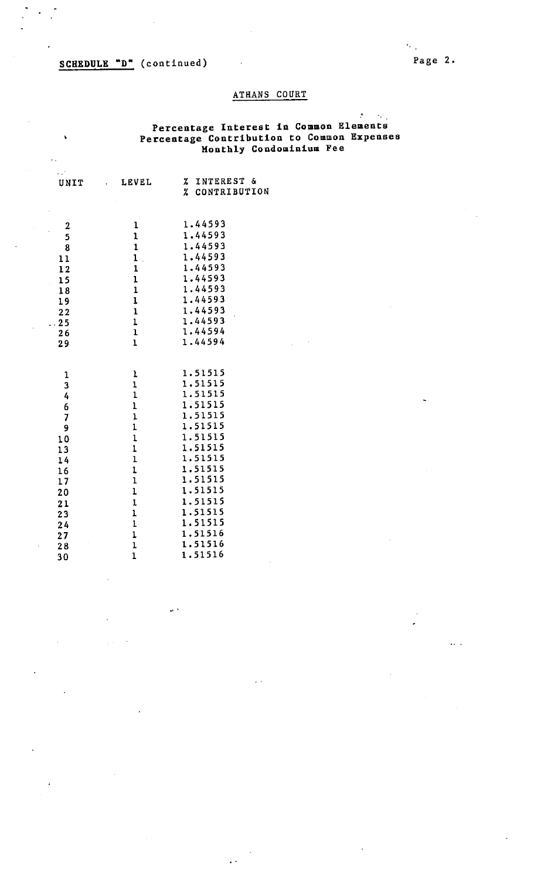# SCHEDULE "D" (continued)

 $\mathcal{L}^{\mathcal{L}}$ 

 $\ddot{\phantom{a}}$ 

 $\ddot{\phantom{a}}$ 

# Page 2,

 $\ddotsc$ 

 $\tilde{G}_{\rm{eff}}$ 

 $\mathcal{A}^{\pm}$ 

# ATHANS COURT

# **Percentage** Interest **in Common Elements Percentage Contribution to Common Expenses Monthly Condominium** Fee

| UNIT                    | LEVEL<br>$\sim 10^{-11}$             | INTEREST &<br>z.<br>CONTRIBUTION<br>$\boldsymbol{z}$ |
|-------------------------|--------------------------------------|------------------------------------------------------|
|                         |                                      |                                                      |
| $\boldsymbol{2}$        | $\mathbf 1$                          | 1.44593                                              |
| 5                       | $\mathbf 1$                          | 1.44593                                              |
| 8                       | $\mathbf{1}$                         | 1.44593                                              |
| 11                      | $\mathbf{1}$<br>$\ddot{\phantom{a}}$ | 1.44593                                              |
| 12                      | $\mathbf 1$                          | 1.44593                                              |
| 15<br>l,                | $\mathbf 1$                          | 1.44593                                              |
| 18                      | $\mathbf{1}$                         | 1.44593                                              |
| 19                      | $\mathbf{1}$                         | 1.44593                                              |
| 22                      | $\mathbf{I}$                         | 1.44593                                              |
| $-25$                   | $\mathbf 1$                          | 1.44593                                              |
| 26                      | $\mathbf 1$                          | 1.44594                                              |
| 29                      | $\mathbf{1}$                         | 1.44594                                              |
|                         |                                      |                                                      |
| 1                       | 1                                    | 1.51515                                              |
| 3                       | $\mathbf 1$                          | 1.51515                                              |
| 4                       | $\mathbf 1$                          | 1.51515                                              |
| 6                       | $\mathbf{1}$                         | 1.51515                                              |
| $\overline{\mathbf{z}}$ | $\bf{l}$                             | 1.51515                                              |
| 9                       | $\mathbf{I}$                         | 1.51515                                              |
| 10                      | $\mathbf{1}$                         | 1.51515                                              |
| 13                      | $\mathbf{1}$                         | 1.51515                                              |
| 14                      | $\mathbf{1}$                         | 1.51515                                              |
| 16                      | $\mathbf 1$                          | 1.51515                                              |
| 17                      | $\mathbf{1}$                         | 1.51515                                              |
| 20                      | $\mathbf{1}$                         | 1.51515                                              |
| 21                      | $\mathbf{I}$                         | 1.51515                                              |
| 23                      | $\mathbf{1}$                         | 1.51515                                              |
| 24                      | $\mathbf{1}$                         | 1.51515                                              |
| 27                      | $\mathbf{1}$                         | 1.51516                                              |
| 28                      | $\mathbf 1$                          | 1.51516                                              |
| 30                      | $\mathbf 1$                          | 1.51516                                              |
|                         |                                      |                                                      |

 $\omega$   $\lambda$ 

 $\ddot{\phantom{1}}$ 

 $\ddot{\phantom{0}}$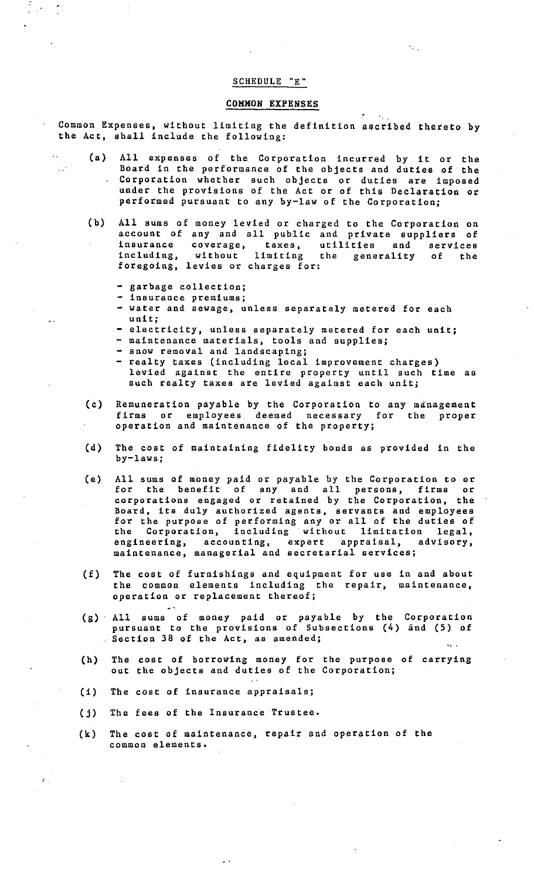# SCHEDULE "E"

### COHHON EXPENSES

Common Expenses, without limiting the definition ascribed thereto by the Act, shall include the following:

- (a) All expenses of the Corporation incurred by it or the Board in the performance of the objects and duties of the Corporation whether such objects or duties are imposed under the provisions of the Act or of this Declaration or performed pursuant to any by-law of the Corporation;
- (b) All sums of money levied or charged to the Corporation on account of any and all public and private suppliers of insurance coverage, taxes, utilities and services including, without limiting the generality of the including, without limiting t<br>foregoing, levies or charges for:
	- garbage collection;

 $\sim$   $\sim$   $\sim$ 

- insurance premiums;
- **water** and sewage, unless separately metered for each unit;
- electricity, unless separately metered for each unit;
- maintenance materials, tools and supplies;
- snow removal and landscaping;
- realty taxes (including local improvement charges) levied against the entire property until such time as such realty taxes are levied against each unit;
- (c) Remuneration payable by the Corporation to any management firms or employees deemed necessary for the proper operation and maintenance of the property;
- (d) The cost of maintaining fidelity bonds as provided in the by-laws;
- (e) All sums of money paid or payable by the Corporation to or for the benefit of any and all persons, firms or corporations engaged or retained by the Corporation, the Board, its duly authorized agents, servants and employees for the purpose of performing any or all of the duties of the Corporation, including without limitation legal, engineering, accounting, expert appraisal, advisory, maintenance, managerial and secretarial services;
- (f) The cost of furnishings and equipment for use in and about the common elements including the repair, maintenance, operation or replacement thereof;
- (g) All sums of money paid or payable by pursuant to the provisions of Subsections Section 38 of the Act, as amended; the Corporation  $(4)$  and  $(5)$  of
- (h) The cost of borrowing money for the purpose of carrying out the objects and duties of the Corporation;
- (1) The cost of insurance appraisals;
- (j) The fees of the Insurance Trustee.
- (k) The cost of maintenance, repair and operation of the common elements.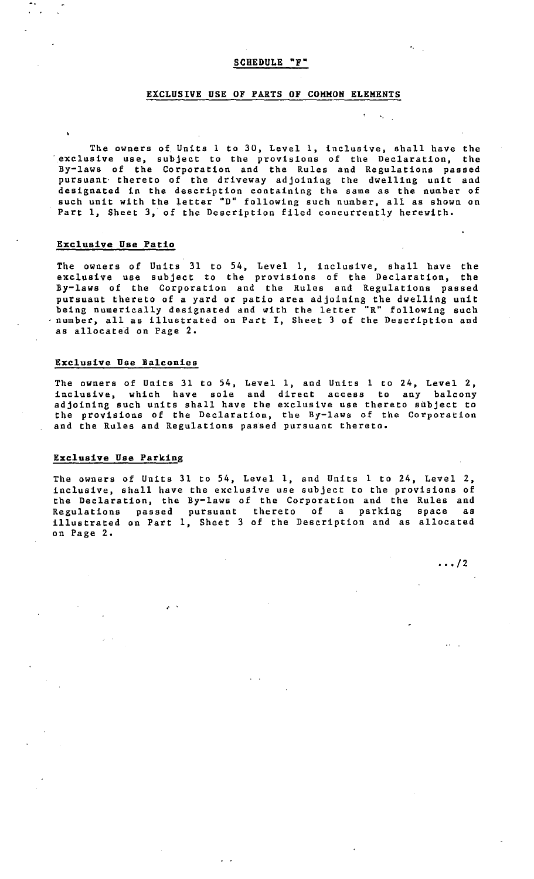# **EXCLUSIVE USE OF PARTS OF COMMON ELEMENTS**

The owners of Units l to 30, Level 1, inclusive, shall have the exclusive use, subject to the provisions of the Declaration, the By-laws of the Corporation and the Rules and Regulations passed pursuant· thereto of the driveway adjoining the dwelling unit and designated in the description containing the same as the number of such unit with the letter "D" following such number, all as shown on Part 1, Sheet 3, of the Description filed concurrently herewith,

## **Exclusive Use Patio**

The owners of Units 31 to 54, Level 1, inclusive, shall have the exclusive use subject to the provisions of the Declaration, the By-laws of the Corporation and the Rules and Regulations passed pursuant thereto of a yard or patio area adjoining the dwelling unit being numerically designated and with the letter "R" following such number, all as illustrated on Part I, Sheet 3 of the Description and as allocated on Page 2.

## **Exclusive Use Balconies**

The owners of Units 31 to 54, Level 1, and Units l to 24, Level 2, inclusive, which have sole and direct access to any balcony adjoining such units shall have the exclusive use thereto subject to the provisions of the Declaration, the By-laws of the Corporation and the Rules and Regulations passed pursuant thereto,

## **Exclusive Use Parking**

The owners of Units 31 to 54, Level 1, and Units l to 24, Level 2, inclusive, shall have the exclusive use subject to the provisions of the Declaration, the By-laws of the Corporation and the Rules and Regulations passed pursuant thereto of a parking space as illustrated on Part 1, Sheet 3 of the Description and as allocated on Page 2,

 $\cdots$  /2